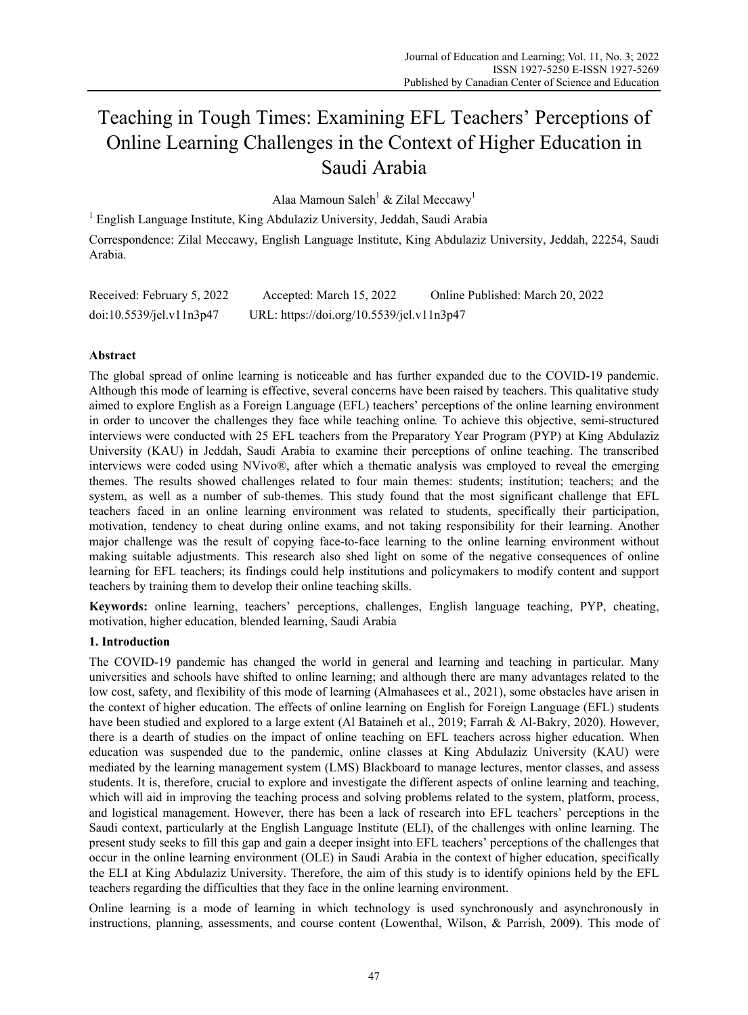# Teaching in Tough Times: Examining EFL Teachers' Perceptions of Online Learning Challenges in the Context of Higher Education in Saudi Arabia

Alaa Mamoun Saleh<sup>1</sup> & Zilal Meccawy<sup>1</sup>

<sup>1</sup> English Language Institute, King Abdulaziz University, Jeddah, Saudi Arabia Correspondence: Zilal Meccawy, English Language Institute, King Abdulaziz University, Jeddah, 22254, Saudi Arabia.

| Received: February 5, 2022 | Accepted: March 15, 2022                  | Online Published: March 20, 2022 |
|----------------------------|-------------------------------------------|----------------------------------|
| doi:10.5539/jel.v11n3p47   | URL: https://doi.org/10.5539/jel.v11n3p47 |                                  |

# **Abstract**

The global spread of online learning is noticeable and has further expanded due to the COVID-19 pandemic. Although this mode of learning is effective, several concerns have been raised by teachers. This qualitative study aimed to explore English as a Foreign Language (EFL) teachers' perceptions of the online learning environment in order to uncover the challenges they face while teaching online*.* To achieve this objective, semi-structured interviews were conducted with 25 EFL teachers from the Preparatory Year Program (PYP) at King Abdulaziz University (KAU) in Jeddah, Saudi Arabia to examine their perceptions of online teaching. The transcribed interviews were coded using NVivo®, after which a thematic analysis was employed to reveal the emerging themes. The results showed challenges related to four main themes: students; institution; teachers; and the system, as well as a number of sub-themes. This study found that the most significant challenge that EFL teachers faced in an online learning environment was related to students, specifically their participation, motivation, tendency to cheat during online exams, and not taking responsibility for their learning. Another major challenge was the result of copying face-to-face learning to the online learning environment without making suitable adjustments. This research also shed light on some of the negative consequences of online learning for EFL teachers; its findings could help institutions and policymakers to modify content and support teachers by training them to develop their online teaching skills.

**Keywords:** online learning, teachers' perceptions, challenges, English language teaching, PYP, cheating, motivation, higher education, blended learning, Saudi Arabia

# **1. Introduction**

The COVID-19 pandemic has changed the world in general and learning and teaching in particular. Many universities and schools have shifted to online learning; and although there are many advantages related to the low cost, safety, and flexibility of this mode of learning (Almahasees et al., 2021), some obstacles have arisen in the context of higher education. The effects of online learning on English for Foreign Language (EFL) students have been studied and explored to a large extent (Al Bataineh et al., 2019; Farrah & Al-Bakry, 2020). However, there is a dearth of studies on the impact of online teaching on EFL teachers across higher education. When education was suspended due to the pandemic, online classes at King Abdulaziz University (KAU) were mediated by the learning management system (LMS) Blackboard to manage lectures, mentor classes, and assess students. It is, therefore, crucial to explore and investigate the different aspects of online learning and teaching, which will aid in improving the teaching process and solving problems related to the system, platform, process, and logistical management. However, there has been a lack of research into EFL teachers' perceptions in the Saudi context, particularly at the English Language Institute (ELI), of the challenges with online learning. The present study seeks to fill this gap and gain a deeper insight into EFL teachers' perceptions of the challenges that occur in the online learning environment (OLE) in Saudi Arabia in the context of higher education, specifically the ELI at King Abdulaziz University. Therefore, the aim of this study is to identify opinions held by the EFL teachers regarding the difficulties that they face in the online learning environment.

Online learning is a mode of learning in which technology is used synchronously and asynchronously in instructions, planning, assessments, and course content (Lowenthal, Wilson, & Parrish, 2009). This mode of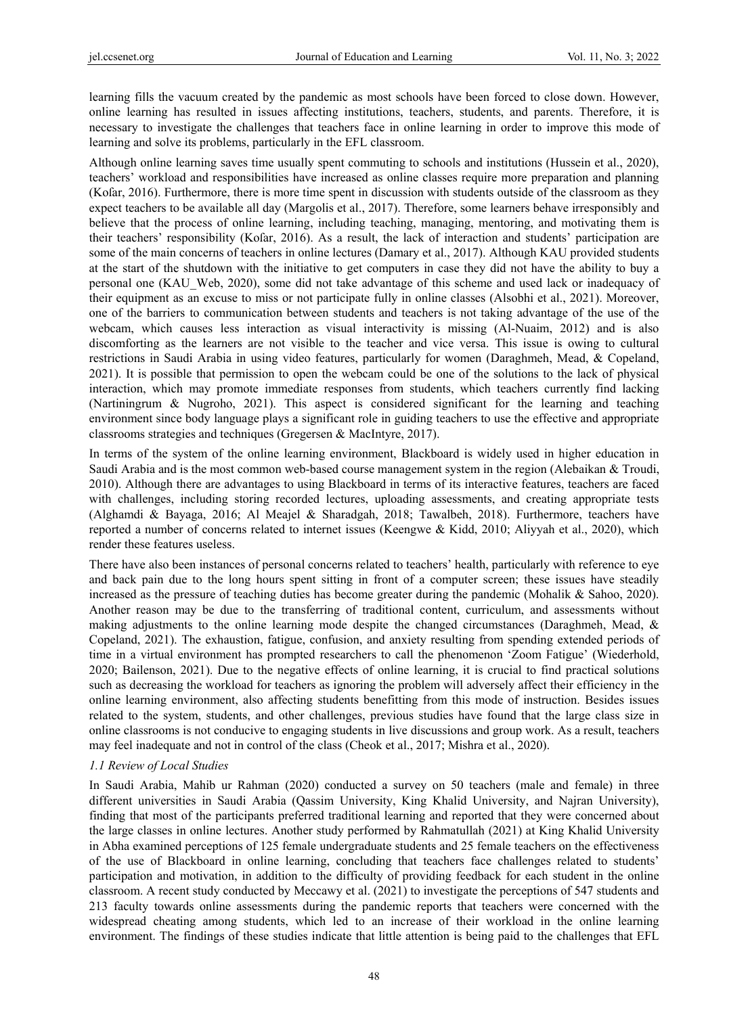learning fills the vacuum created by the pandemic as most schools have been forced to close down. However, online learning has resulted in issues affecting institutions, teachers, students, and parents. Therefore, it is necessary to investigate the challenges that teachers face in online learning in order to improve this mode of learning and solve its problems, particularly in the EFL classroom.

Although online learning saves time usually spent commuting to schools and institutions (Hussein et al., 2020), teachers' workload and responsibilities have increased as online classes require more preparation and planning (Koſar, 2016). Furthermore, there is more time spent in discussion with students outside of the classroom as they expect teachers to be available all day (Margolis et al., 2017). Therefore, some learners behave irresponsibly and believe that the process of online learning, including teaching, managing, mentoring, and motivating them is their teachers' responsibility (Kofar, 2016). As a result, the lack of interaction and students' participation are some of the main concerns of teachers in online lectures (Damary et al., 2017). Although KAU provided students at the start of the shutdown with the initiative to get computers in case they did not have the ability to buy a personal one (KAU\_Web, 2020), some did not take advantage of this scheme and used lack or inadequacy of their equipment as an excuse to miss or not participate fully in online classes (Alsobhi et al., 2021). Moreover, one of the barriers to communication between students and teachers is not taking advantage of the use of the webcam, which causes less interaction as visual interactivity is missing (Al-Nuaim, 2012) and is also discomforting as the learners are not visible to the teacher and vice versa. This issue is owing to cultural restrictions in Saudi Arabia in using video features, particularly for women (Daraghmeh, Mead, & Copeland, 2021). It is possible that permission to open the webcam could be one of the solutions to the lack of physical interaction, which may promote immediate responses from students, which teachers currently find lacking (Nartiningrum & Nugroho, 2021). This aspect is considered significant for the learning and teaching environment since body language plays a significant role in guiding teachers to use the effective and appropriate classrooms strategies and techniques (Gregersen & MacIntyre, 2017).

In terms of the system of the online learning environment, Blackboard is widely used in higher education in Saudi Arabia and is the most common web-based course management system in the region (Alebaikan & Troudi, 2010). Although there are advantages to using Blackboard in terms of its interactive features, teachers are faced with challenges, including storing recorded lectures, uploading assessments, and creating appropriate tests (Alghamdi & Bayaga, 2016; Al Meajel & Sharadgah, 2018; Tawalbeh, 2018). Furthermore, teachers have reported a number of concerns related to internet issues (Keengwe & Kidd, 2010; Aliyyah et al., 2020), which render these features useless.

There have also been instances of personal concerns related to teachers' health, particularly with reference to eye and back pain due to the long hours spent sitting in front of a computer screen; these issues have steadily increased as the pressure of teaching duties has become greater during the pandemic (Mohalik & Sahoo, 2020). Another reason may be due to the transferring of traditional content, curriculum, and assessments without making adjustments to the online learning mode despite the changed circumstances (Daraghmeh, Mead, & Copeland, 2021). The exhaustion, fatigue, confusion, and anxiety resulting from spending extended periods of time in a virtual environment has prompted researchers to call the phenomenon 'Zoom Fatigue' (Wiederhold, 2020; Bailenson, 2021). Due to the negative effects of online learning, it is crucial to find practical solutions such as decreasing the workload for teachers as ignoring the problem will adversely affect their efficiency in the online learning environment, also affecting students benefitting from this mode of instruction. Besides issues related to the system, students, and other challenges, previous studies have found that the large class size in online classrooms is not conducive to engaging students in live discussions and group work. As a result, teachers may feel inadequate and not in control of the class (Cheok et al., 2017; Mishra et al., 2020).

#### *1.1 Review of Local Studies*

In Saudi Arabia, Mahib ur Rahman (2020) conducted a survey on 50 teachers (male and female) in three different universities in Saudi Arabia (Qassim University, King Khalid University, and Najran University), finding that most of the participants preferred traditional learning and reported that they were concerned about the large classes in online lectures. Another study performed by Rahmatullah (2021) at King Khalid University in Abha examined perceptions of 125 female undergraduate students and 25 female teachers on the effectiveness of the use of Blackboard in online learning, concluding that teachers face challenges related to students' participation and motivation, in addition to the difficulty of providing feedback for each student in the online classroom. A recent study conducted by Meccawy et al. (2021) to investigate the perceptions of 547 students and 213 faculty towards online assessments during the pandemic reports that teachers were concerned with the widespread cheating among students, which led to an increase of their workload in the online learning environment. The findings of these studies indicate that little attention is being paid to the challenges that EFL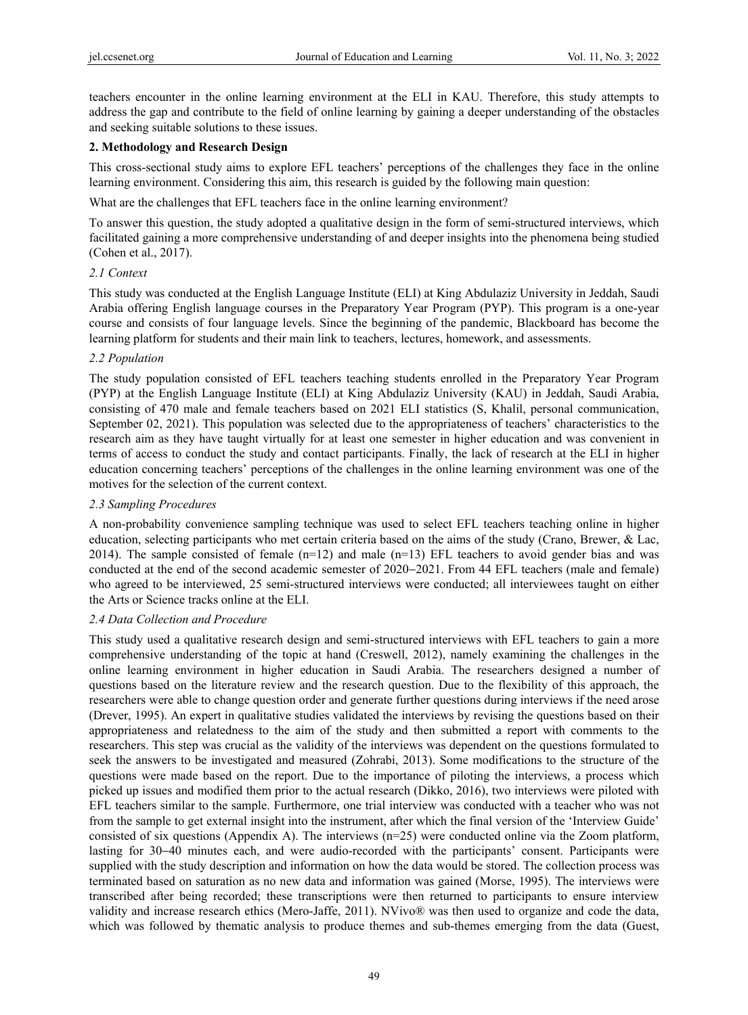teachers encounter in the online learning environment at the ELI in KAU. Therefore, this study attempts to address the gap and contribute to the field of online learning by gaining a deeper understanding of the obstacles and seeking suitable solutions to these issues.

## **2. Methodology and Research Design**

This cross-sectional study aims to explore EFL teachers' perceptions of the challenges they face in the online learning environment. Considering this aim, this research is guided by the following main question:

What are the challenges that EFL teachers face in the online learning environment?

To answer this question, the study adopted a qualitative design in the form of semi-structured interviews, which facilitated gaining a more comprehensive understanding of and deeper insights into the phenomena being studied (Cohen et al., 2017).

## *2.1 Context*

This study was conducted at the English Language Institute (ELI) at King Abdulaziz University in Jeddah, Saudi Arabia offering English language courses in the Preparatory Year Program (PYP). This program is a one-year course and consists of four language levels. Since the beginning of the pandemic, Blackboard has become the learning platform for students and their main link to teachers, lectures, homework, and assessments.

## *2.2 Population*

The study population consisted of EFL teachers teaching students enrolled in the Preparatory Year Program (PYP) at the English Language Institute (ELI) at King Abdulaziz University (KAU) in Jeddah, Saudi Arabia, consisting of 470 male and female teachers based on 2021 ELI statistics (S, Khalil, personal communication, September 02, 2021). This population was selected due to the appropriateness of teachers' characteristics to the research aim as they have taught virtually for at least one semester in higher education and was convenient in terms of access to conduct the study and contact participants. Finally, the lack of research at the ELI in higher education concerning teachers' perceptions of the challenges in the online learning environment was one of the motives for the selection of the current context.

## *2.3 Sampling Procedures*

A non-probability convenience sampling technique was used to select EFL teachers teaching online in higher education, selecting participants who met certain criteria based on the aims of the study (Crano, Brewer, & Lac, 2014). The sample consisted of female  $(n=12)$  and male  $(n=13)$  EFL teachers to avoid gender bias and was conducted at the end of the second academic semester of 2020−2021. From 44 EFL teachers (male and female) who agreed to be interviewed, 25 semi-structured interviews were conducted; all interviewees taught on either the Arts or Science tracks online at the ELI.

## *2.4 Data Collection and Procedure*

This study used a qualitative research design and semi-structured interviews with EFL teachers to gain a more comprehensive understanding of the topic at hand (Creswell, 2012), namely examining the challenges in the online learning environment in higher education in Saudi Arabia. The researchers designed a number of questions based on the literature review and the research question. Due to the flexibility of this approach, the researchers were able to change question order and generate further questions during interviews if the need arose (Drever, 1995). An expert in qualitative studies validated the interviews by revising the questions based on their appropriateness and relatedness to the aim of the study and then submitted a report with comments to the researchers. This step was crucial as the validity of the interviews was dependent on the questions formulated to seek the answers to be investigated and measured (Zohrabi, 2013). Some modifications to the structure of the questions were made based on the report. Due to the importance of piloting the interviews, a process which picked up issues and modified them prior to the actual research (Dikko, 2016), two interviews were piloted with EFL teachers similar to the sample. Furthermore, one trial interview was conducted with a teacher who was not from the sample to get external insight into the instrument, after which the final version of the 'Interview Guide' consisted of six questions (Appendix A). The interviews (n=25) were conducted online via the Zoom platform, lasting for 30−40 minutes each, and were audio-recorded with the participants' consent. Participants were supplied with the study description and information on how the data would be stored. The collection process was terminated based on saturation as no new data and information was gained (Morse, 1995). The interviews were transcribed after being recorded; these transcriptions were then returned to participants to ensure interview validity and increase research ethics (Mero-Jaffe, 2011). NVivo® was then used to organize and code the data, which was followed by thematic analysis to produce themes and sub-themes emerging from the data (Guest,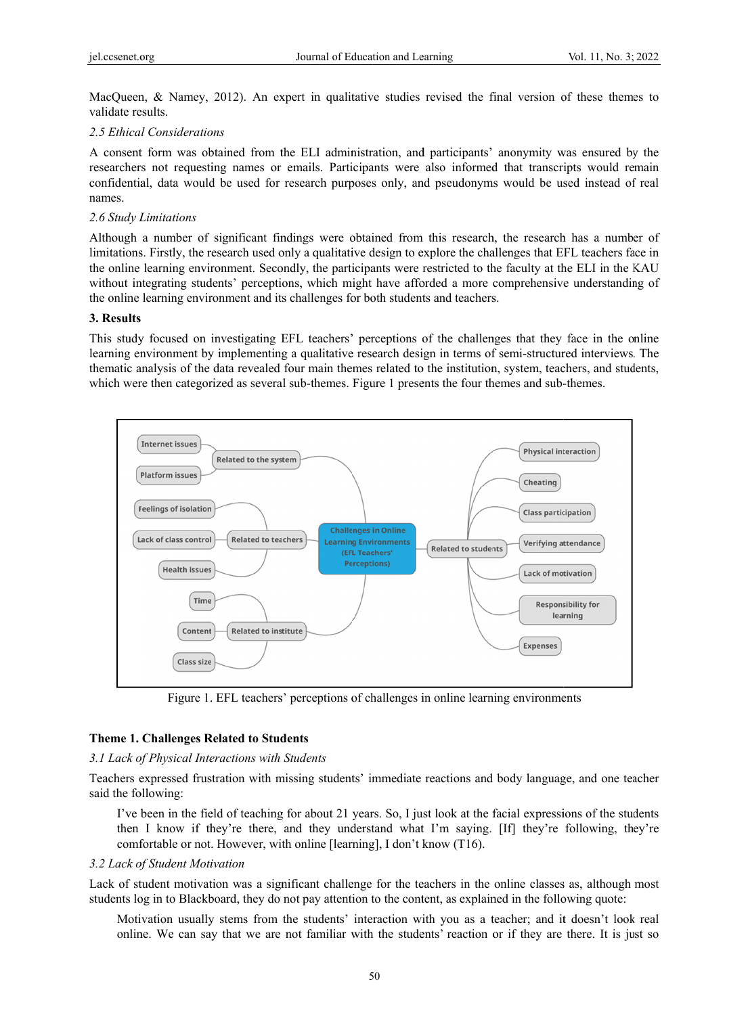MacQueen, & Namey, 2012). An expert in qualitative studies revised the final version of these themes to validate results.

#### 2.5 Ethical Considerations

A consent form was obtained from the ELI administration, and participants' anonymity was ensured by the researchers not requesting names or emails. Participants were also informed that transcripts would remain confidential, data would be used for research purposes only, and pseudonyms would be used instead of real names.

#### *2.6 Study L Limitations*

Although a number of significant findings were obtained from this research, the research has a number of limitations. Firstly, the research used only a qualitative design to explore the challenges that EFL teachers face in the online learning environment. Secondly, the participants were restricted to the faculty at the ELI in the KAU without integrating students' perceptions, which might have afforded a more comprehensive understanding of the online learning environment and its challenges for both students and teachers.

#### **3. Results**

This study focused on investigating EFL teachers' perceptions of the challenges that they face in the online learning environment by implementing a qualitative research design in terms of semi-structured interviews. The thematic analysis of the data revealed four main themes related to the institution, system, teachers, and students, which were then categorized as several sub-themes. Figure 1 presents the four themes and sub-themes.



Figure 1. EFL teachers' perceptions of challenges in online learning environments

## **Theme 1. Challenges Related to Students**

#### 3.1 Lack of Physical Interactions with Students

Teachers expressed frustration with missing students' immediate reactions and body language, and one teacher said the following:

I've been in the field of teaching for about 21 years. So, I just look at the facial expressions of the students then I know if they're there, and they understand what I'm saying. [If] they're following, they're comfortable or not. However, with online [learning], I don't know (T16).

#### 3.2 Lack of Student Motivation

Lack of student motivation was a significant challenge for the teachers in the online classes as, although most students log in to Blackboard, they do not pay attention to the content, as explained in the following quote:

Motivation usually stems from the students' interaction with you as a teacher; and it doesn't look real online. We can say that we are not familiar with the students' reaction or if they are there. It is just so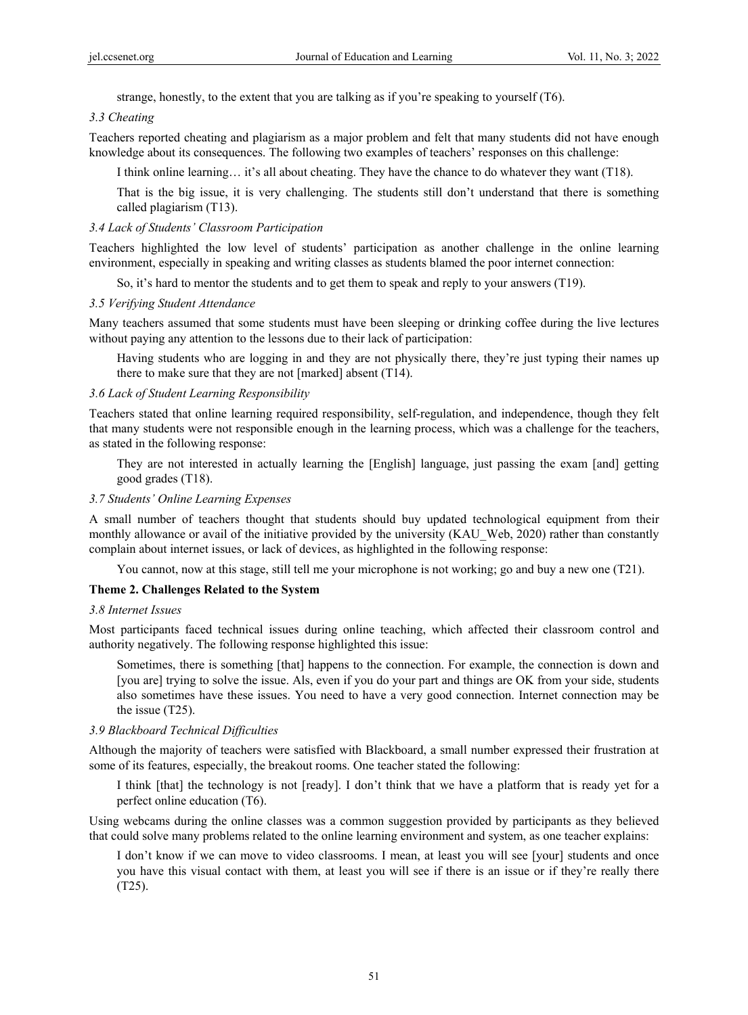strange, honestly, to the extent that you are talking as if you're speaking to yourself (T6).

#### *3.3 Cheating*

Teachers reported cheating and plagiarism as a major problem and felt that many students did not have enough knowledge about its consequences. The following two examples of teachers' responses on this challenge:

I think online learning… it's all about cheating. They have the chance to do whatever they want (T18).

That is the big issue, it is very challenging. The students still don't understand that there is something called plagiarism (T13).

#### *3.4 Lack of Students' Classroom Participation*

Teachers highlighted the low level of students' participation as another challenge in the online learning environment, especially in speaking and writing classes as students blamed the poor internet connection:

So, it's hard to mentor the students and to get them to speak and reply to your answers (T19).

#### *3.5 Verifying Student Attendance*

Many teachers assumed that some students must have been sleeping or drinking coffee during the live lectures without paying any attention to the lessons due to their lack of participation:

Having students who are logging in and they are not physically there, they're just typing their names up there to make sure that they are not [marked] absent (T14).

#### *3.6 Lack of Student Learning Responsibility*

Teachers stated that online learning required responsibility, self-regulation, and independence, though they felt that many students were not responsible enough in the learning process, which was a challenge for the teachers, as stated in the following response:

They are not interested in actually learning the [English] language, just passing the exam [and] getting good grades (T18).

# *3.7 Students' Online Learning Expenses*

A small number of teachers thought that students should buy updated technological equipment from their monthly allowance or avail of the initiative provided by the university (KAU Web, 2020) rather than constantly complain about internet issues, or lack of devices, as highlighted in the following response:

You cannot, now at this stage, still tell me your microphone is not working; go and buy a new one (T21).

## **Theme 2. Challenges Related to the System**

#### *3.8 Internet Issues*

Most participants faced technical issues during online teaching, which affected their classroom control and authority negatively. The following response highlighted this issue:

Sometimes, there is something [that] happens to the connection. For example, the connection is down and [you are] trying to solve the issue. Als, even if you do your part and things are OK from your side, students also sometimes have these issues. You need to have a very good connection. Internet connection may be the issue (T25).

## *3.9 Blackboard Technical Difficulties*

Although the majority of teachers were satisfied with Blackboard, a small number expressed their frustration at some of its features, especially, the breakout rooms. One teacher stated the following:

I think [that] the technology is not [ready]. I don't think that we have a platform that is ready yet for a perfect online education (T6).

Using webcams during the online classes was a common suggestion provided by participants as they believed that could solve many problems related to the online learning environment and system, as one teacher explains:

I don't know if we can move to video classrooms. I mean, at least you will see [your] students and once you have this visual contact with them, at least you will see if there is an issue or if they're really there (T25).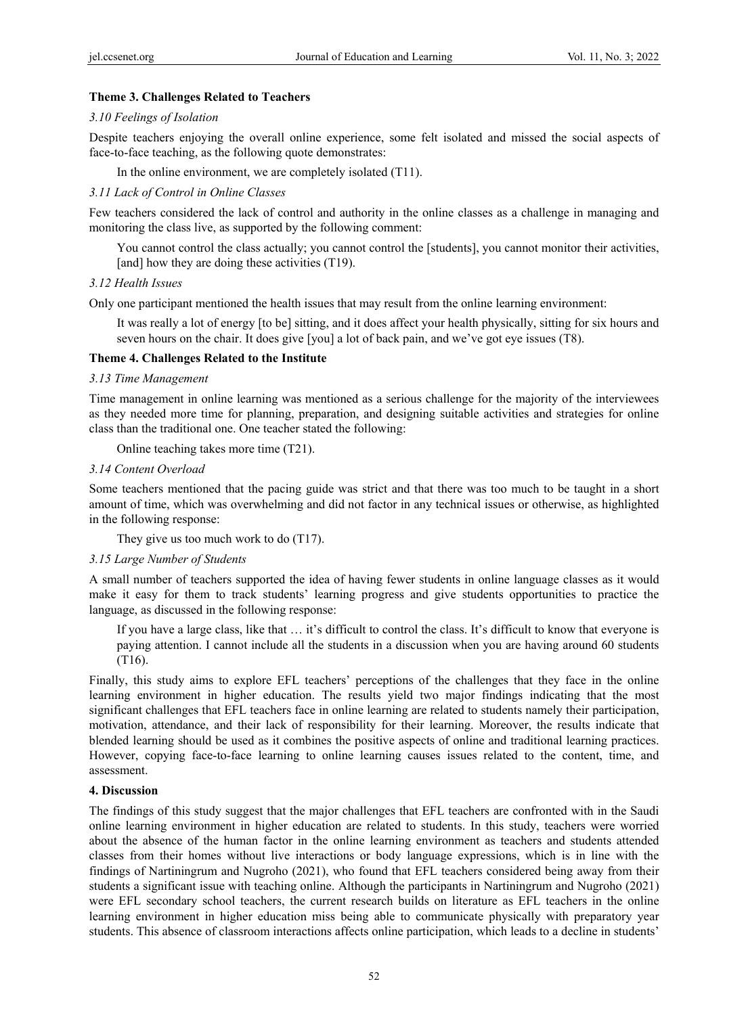## **Theme 3. Challenges Related to Teachers**

## *3.10 Feelings of Isolation*

Despite teachers enjoying the overall online experience, some felt isolated and missed the social aspects of face-to-face teaching, as the following quote demonstrates:

In the online environment, we are completely isolated (T11).

## *3.11 Lack of Control in Online Classes*

Few teachers considered the lack of control and authority in the online classes as a challenge in managing and monitoring the class live, as supported by the following comment:

You cannot control the class actually; you cannot control the [students], you cannot monitor their activities, [and] how they are doing these activities (T19).

## *3.12 Health Issues*

Only one participant mentioned the health issues that may result from the online learning environment:

It was really a lot of energy [to be] sitting, and it does affect your health physically, sitting for six hours and seven hours on the chair. It does give [you] a lot of back pain, and we've got eye issues (T8).

## **Theme 4. Challenges Related to the Institute**

## *3.13 Time Management*

Time management in online learning was mentioned as a serious challenge for the majority of the interviewees as they needed more time for planning, preparation, and designing suitable activities and strategies for online class than the traditional one. One teacher stated the following:

Online teaching takes more time (T21).

## *3.14 Content Overload*

Some teachers mentioned that the pacing guide was strict and that there was too much to be taught in a short amount of time, which was overwhelming and did not factor in any technical issues or otherwise, as highlighted in the following response:

They give us too much work to do (T17).

## *3.15 Large Number of Students*

A small number of teachers supported the idea of having fewer students in online language classes as it would make it easy for them to track students' learning progress and give students opportunities to practice the language, as discussed in the following response:

If you have a large class, like that … it's difficult to control the class. It's difficult to know that everyone is paying attention. I cannot include all the students in a discussion when you are having around 60 students (T16).

Finally, this study aims to explore EFL teachers' perceptions of the challenges that they face in the online learning environment in higher education. The results yield two major findings indicating that the most significant challenges that EFL teachers face in online learning are related to students namely their participation, motivation, attendance, and their lack of responsibility for their learning. Moreover, the results indicate that blended learning should be used as it combines the positive aspects of online and traditional learning practices. However, copying face-to-face learning to online learning causes issues related to the content, time, and assessment.

## **4. Discussion**

The findings of this study suggest that the major challenges that EFL teachers are confronted with in the Saudi online learning environment in higher education are related to students. In this study, teachers were worried about the absence of the human factor in the online learning environment as teachers and students attended classes from their homes without live interactions or body language expressions, which is in line with the findings of Nartiningrum and Nugroho (2021), who found that EFL teachers considered being away from their students a significant issue with teaching online. Although the participants in Nartiningrum and Nugroho (2021) were EFL secondary school teachers, the current research builds on literature as EFL teachers in the online learning environment in higher education miss being able to communicate physically with preparatory year students. This absence of classroom interactions affects online participation, which leads to a decline in students'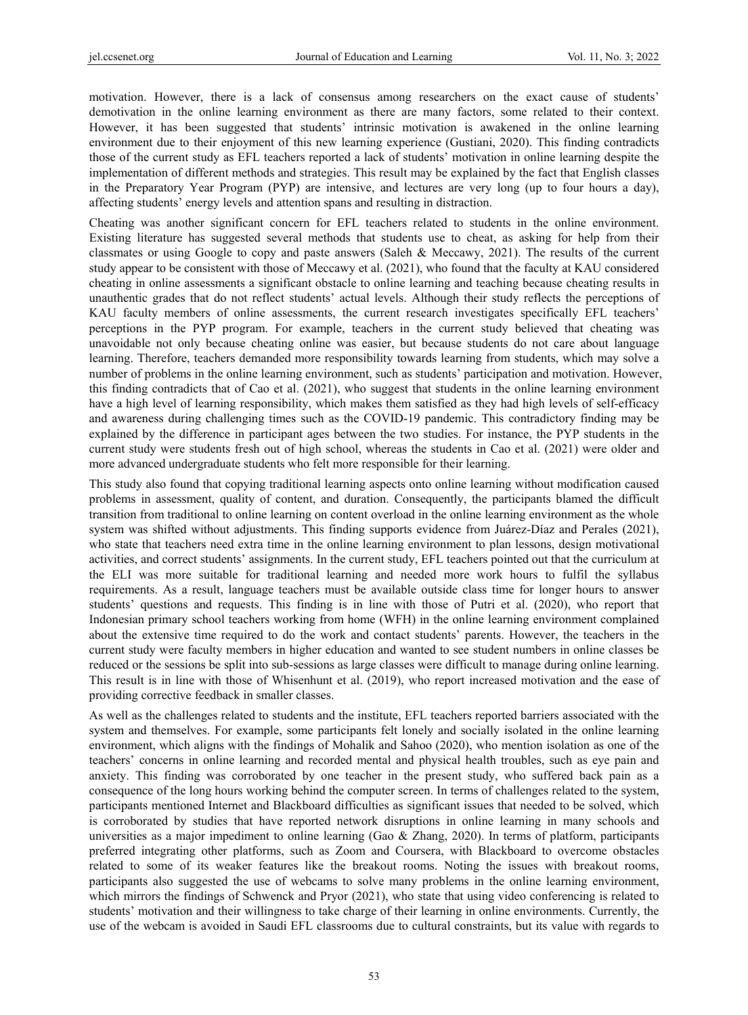motivation. However, there is a lack of consensus among researchers on the exact cause of students' demotivation in the online learning environment as there are many factors, some related to their context. However, it has been suggested that students' intrinsic motivation is awakened in the online learning environment due to their enjoyment of this new learning experience (Gustiani, 2020). This finding contradicts those of the current study as EFL teachers reported a lack of students' motivation in online learning despite the implementation of different methods and strategies. This result may be explained by the fact that English classes in the Preparatory Year Program (PYP) are intensive, and lectures are very long (up to four hours a day), affecting students' energy levels and attention spans and resulting in distraction.

Cheating was another significant concern for EFL teachers related to students in the online environment. Existing literature has suggested several methods that students use to cheat, as asking for help from their classmates or using Google to copy and paste answers (Saleh & Meccawy, 2021). The results of the current study appear to be consistent with those of Meccawy et al. (2021), who found that the faculty at KAU considered cheating in online assessments a significant obstacle to online learning and teaching because cheating results in unauthentic grades that do not reflect students' actual levels. Although their study reflects the perceptions of KAU faculty members of online assessments, the current research investigates specifically EFL teachers' perceptions in the PYP program. For example, teachers in the current study believed that cheating was unavoidable not only because cheating online was easier, but because students do not care about language learning. Therefore, teachers demanded more responsibility towards learning from students, which may solve a number of problems in the online learning environment, such as students' participation and motivation. However, this finding contradicts that of Cao et al. (2021), who suggest that students in the online learning environment have a high level of learning responsibility, which makes them satisfied as they had high levels of self-efficacy and awareness during challenging times such as the COVID-19 pandemic. This contradictory finding may be explained by the difference in participant ages between the two studies. For instance, the PYP students in the current study were students fresh out of high school, whereas the students in Cao et al. (2021) were older and more advanced undergraduate students who felt more responsible for their learning.

This study also found that copying traditional learning aspects onto online learning without modification caused problems in assessment, quality of content, and duration. Consequently, the participants blamed the difficult transition from traditional to online learning on content overload in the online learning environment as the whole system was shifted without adjustments. This finding supports evidence from Juárez-Díaz and Perales (2021), who state that teachers need extra time in the online learning environment to plan lessons, design motivational activities, and correct students' assignments. In the current study, EFL teachers pointed out that the curriculum at the ELI was more suitable for traditional learning and needed more work hours to fulfil the syllabus requirements. As a result, language teachers must be available outside class time for longer hours to answer students' questions and requests. This finding is in line with those of Putri et al. (2020), who report that Indonesian primary school teachers working from home (WFH) in the online learning environment complained about the extensive time required to do the work and contact students' parents. However, the teachers in the current study were faculty members in higher education and wanted to see student numbers in online classes be reduced or the sessions be split into sub-sessions as large classes were difficult to manage during online learning. This result is in line with those of Whisenhunt et al. (2019), who report increased motivation and the ease of providing corrective feedback in smaller classes.

As well as the challenges related to students and the institute, EFL teachers reported barriers associated with the system and themselves. For example, some participants felt lonely and socially isolated in the online learning environment, which aligns with the findings of Mohalik and Sahoo (2020), who mention isolation as one of the teachers' concerns in online learning and recorded mental and physical health troubles, such as eye pain and anxiety. This finding was corroborated by one teacher in the present study, who suffered back pain as a consequence of the long hours working behind the computer screen. In terms of challenges related to the system, participants mentioned Internet and Blackboard difficulties as significant issues that needed to be solved, which is corroborated by studies that have reported network disruptions in online learning in many schools and universities as a major impediment to online learning (Gao & Zhang, 2020). In terms of platform, participants preferred integrating other platforms, such as Zoom and Coursera, with Blackboard to overcome obstacles related to some of its weaker features like the breakout rooms. Noting the issues with breakout rooms, participants also suggested the use of webcams to solve many problems in the online learning environment, which mirrors the findings of Schwenck and Pryor (2021), who state that using video conferencing is related to students' motivation and their willingness to take charge of their learning in online environments. Currently, the use of the webcam is avoided in Saudi EFL classrooms due to cultural constraints, but its value with regards to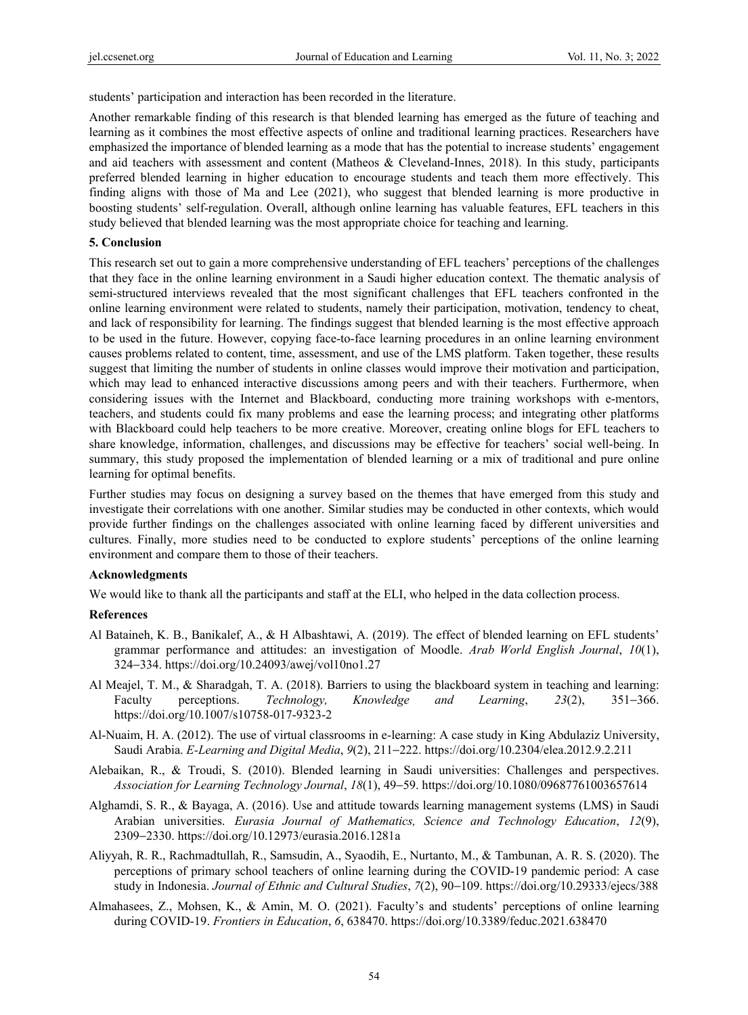students' participation and interaction has been recorded in the literature.

Another remarkable finding of this research is that blended learning has emerged as the future of teaching and learning as it combines the most effective aspects of online and traditional learning practices. Researchers have emphasized the importance of blended learning as a mode that has the potential to increase students' engagement and aid teachers with assessment and content (Matheos & Cleveland-Innes, 2018). In this study, participants preferred blended learning in higher education to encourage students and teach them more effectively. This finding aligns with those of Ma and Lee (2021), who suggest that blended learning is more productive in boosting students' self-regulation. Overall, although online learning has valuable features, EFL teachers in this study believed that blended learning was the most appropriate choice for teaching and learning.

#### **5. Conclusion**

This research set out to gain a more comprehensive understanding of EFL teachers' perceptions of the challenges that they face in the online learning environment in a Saudi higher education context. The thematic analysis of semi-structured interviews revealed that the most significant challenges that EFL teachers confronted in the online learning environment were related to students, namely their participation, motivation, tendency to cheat, and lack of responsibility for learning. The findings suggest that blended learning is the most effective approach to be used in the future. However, copying face-to-face learning procedures in an online learning environment causes problems related to content, time, assessment, and use of the LMS platform. Taken together, these results suggest that limiting the number of students in online classes would improve their motivation and participation, which may lead to enhanced interactive discussions among peers and with their teachers. Furthermore, when considering issues with the Internet and Blackboard, conducting more training workshops with e-mentors, teachers, and students could fix many problems and ease the learning process; and integrating other platforms with Blackboard could help teachers to be more creative. Moreover, creating online blogs for EFL teachers to share knowledge, information, challenges, and discussions may be effective for teachers' social well-being. In summary, this study proposed the implementation of blended learning or a mix of traditional and pure online learning for optimal benefits.

Further studies may focus on designing a survey based on the themes that have emerged from this study and investigate their correlations with one another. Similar studies may be conducted in other contexts, which would provide further findings on the challenges associated with online learning faced by different universities and cultures. Finally, more studies need to be conducted to explore students' perceptions of the online learning environment and compare them to those of their teachers.

#### **Acknowledgments**

We would like to thank all the participants and staff at the ELI, who helped in the data collection process.

#### **References**

- Al Bataineh, K. B., Banikalef, A., & H Albashtawi, A. (2019). The effect of blended learning on EFL students' grammar performance and attitudes: an investigation of Moodle. *Arab World English Journal*, *10*(1), 324−334. https://doi.org/10.24093/awej/vol10no1.27
- Al Meajel, T. M., & Sharadgah, T. A. (2018). Barriers to using the blackboard system in teaching and learning: Faculty perceptions. *Technology, Knowledge and Learning*, *23*(2), 351−366. https://doi.org/10.1007/s10758-017-9323-2
- Al-Nuaim, H. A. (2012). The use of virtual classrooms in e-learning: A case study in King Abdulaziz University, Saudi Arabia. *E-Learning and Digital Media*, *9*(2), 211−222. https://doi.org/10.2304/elea.2012.9.2.211
- Alebaikan, R., & Troudi, S. (2010). Blended learning in Saudi universities: Challenges and perspectives. *Association for Learning Technology Journal*, *18*(1), 49−59. https://doi.org/10.1080/09687761003657614
- Alghamdi, S. R., & Bayaga, A. (2016). Use and attitude towards learning management systems (LMS) in Saudi Arabian universities. *Eurasia Journal of Mathematics, Science and Technology Education*, *12*(9), 2309−2330. https://doi.org/10.12973/eurasia.2016.1281a
- Aliyyah, R. R., Rachmadtullah, R., Samsudin, A., Syaodih, E., Nurtanto, M., & Tambunan, A. R. S. (2020). The perceptions of primary school teachers of online learning during the COVID-19 pandemic period: A case study in Indonesia. *Journal of Ethnic and Cultural Studies*, *7*(2), 90−109. https://doi.org/10.29333/ejecs/388
- Almahasees, Z., Mohsen, K., & Amin, M. O. (2021). Faculty's and students' perceptions of online learning during COVID-19. *Frontiers in Education*, *6*, 638470. https://doi.org/10.3389/feduc.2021.638470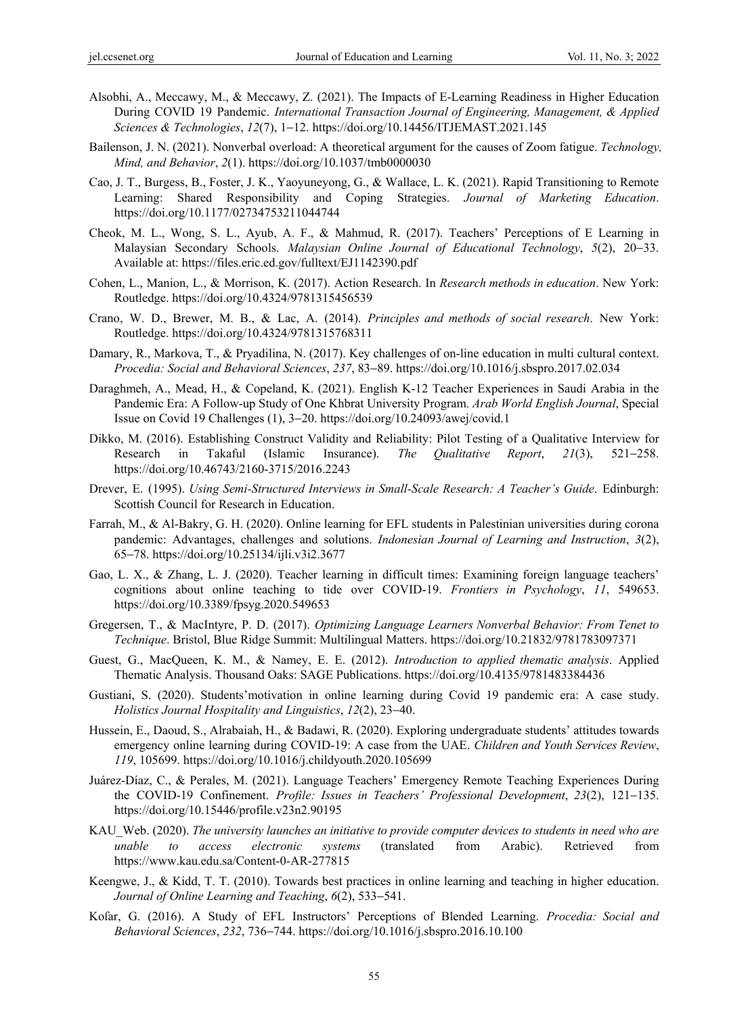- Alsobhi, A., Meccawy, M., & Meccawy, Z. (2021). The Impacts of E-Learning Readiness in Higher Education During COVID 19 Pandemic. *International Transaction Journal of Engineering, Management, & Applied Sciences & Technologies*, *12*(7), 1−12. https://doi.org/10.14456/ITJEMAST.2021.145
- Bailenson, J. N. (2021). Nonverbal overload: A theoretical argument for the causes of Zoom fatigue. *Technology, Mind, and Behavior*, *2*(1). https://doi.org/10.1037/tmb0000030
- Cao, J. T., Burgess, B., Foster, J. K., Yaoyuneyong, G., & Wallace, L. K. (2021). Rapid Transitioning to Remote Learning: Shared Responsibility and Coping Strategies. *Journal of Marketing Education*. https://doi.org/10.1177/02734753211044744
- Cheok, M. L., Wong, S. L., Ayub, A. F., & Mahmud, R. (2017). Teachers' Perceptions of E Learning in Malaysian Secondary Schools. *Malaysian Online Journal of Educational Technology*, *5*(2), 20−33. Available at: https://files.eric.ed.gov/fulltext/EJ1142390.pdf
- Cohen, L., Manion, L., & Morrison, K. (2017). Action Research. In *Research methods in education*. New York: Routledge. https://doi.org/10.4324/9781315456539
- Crano, W. D., Brewer, M. B., & Lac, A. (2014). *Principles and methods of social research*. New York: Routledge. https://doi.org/10.4324/9781315768311
- Damary, R., Markova, T., & Pryadilina, N. (2017). Key challenges of on-line education in multi cultural context. *Procedia: Social and Behavioral Sciences*, *237*, 83−89. https://doi.org/10.1016/j.sbspro.2017.02.034
- Daraghmeh, A., Mead, H., & Copeland, K. (2021). English K-12 Teacher Experiences in Saudi Arabia in the Pandemic Era: A Follow-up Study of One Khbrat University Program. *Arab World English Journal*, Special Issue on Covid 19 Challenges (1), 3−20. https://doi.org/10.24093/awej/covid.1
- Dikko, M. (2016). Establishing Construct Validity and Reliability: Pilot Testing of a Qualitative Interview for Research in Takaful (Islamic Insurance). *The Qualitative Report*, *21*(3), 521−258. https://doi.org/10.46743/2160-3715/2016.2243
- Drever, E. (1995). *Using Semi-Structured Interviews in Small-Scale Research: A Teacher's Guide*. Edinburgh: Scottish Council for Research in Education.
- Farrah, M., & Al-Bakry, G. H. (2020). Online learning for EFL students in Palestinian universities during corona pandemic: Advantages, challenges and solutions. *Indonesian Journal of Learning and Instruction*, *3*(2), 65−78. https://doi.org/10.25134/ijli.v3i2.3677
- Gao, L. X., & Zhang, L. J. (2020). Teacher learning in difficult times: Examining foreign language teachers' cognitions about online teaching to tide over COVID-19. *Frontiers in Psychology*, *11*, 549653. https://doi.org/10.3389/fpsyg.2020.549653
- Gregersen, T., & MacIntyre, P. D. (2017). *Optimizing Language Learners Nonverbal Behavior: From Tenet to Technique*. Bristol, Blue Ridge Summit: Multilingual Matters. https://doi.org/10.21832/9781783097371
- Guest, G., MacQueen, K. M., & Namey, E. E. (2012). *Introduction to applied thematic analysis*. Applied Thematic Analysis. Thousand Oaks: SAGE Publications. https://doi.org/10.4135/9781483384436
- Gustiani, S. (2020). Students'motivation in online learning during Covid 19 pandemic era: A case study. *Holistics Journal Hospitality and Linguistics*, *12*(2), 23−40.
- Hussein, E., Daoud, S., Alrabaiah, H., & Badawi, R. (2020). Exploring undergraduate students' attitudes towards emergency online learning during COVID-19: A case from the UAE. *Children and Youth Services Review*, *119*, 105699. https://doi.org/10.1016/j.childyouth.2020.105699
- Juárez-Díaz, C., & Perales, M. (2021). Language Teachers' Emergency Remote Teaching Experiences During the COVID-19 Confinement. *Profile: Issues in Teachers' Professional Development*, *23*(2), 121−135. https://doi.org/10.15446/profile.v23n2.90195
- KAU\_Web. (2020). *The university launches an initiative to provide computer devices to students in need who are unable to access electronic systems* (translated from Arabic). Retrieved from https://www.kau.edu.sa/Content-0-AR-277815
- Keengwe, J., & Kidd, T. T. (2010). Towards best practices in online learning and teaching in higher education. *Journal of Online Learning and Teaching*, *6*(2), 533−541.
- Koſar, G. (2016). A Study of EFL Instructors' Perceptions of Blended Learning. *Procedia: Social and Behavioral Sciences*, *232*, 736−744. https://doi.org/10.1016/j.sbspro.2016.10.100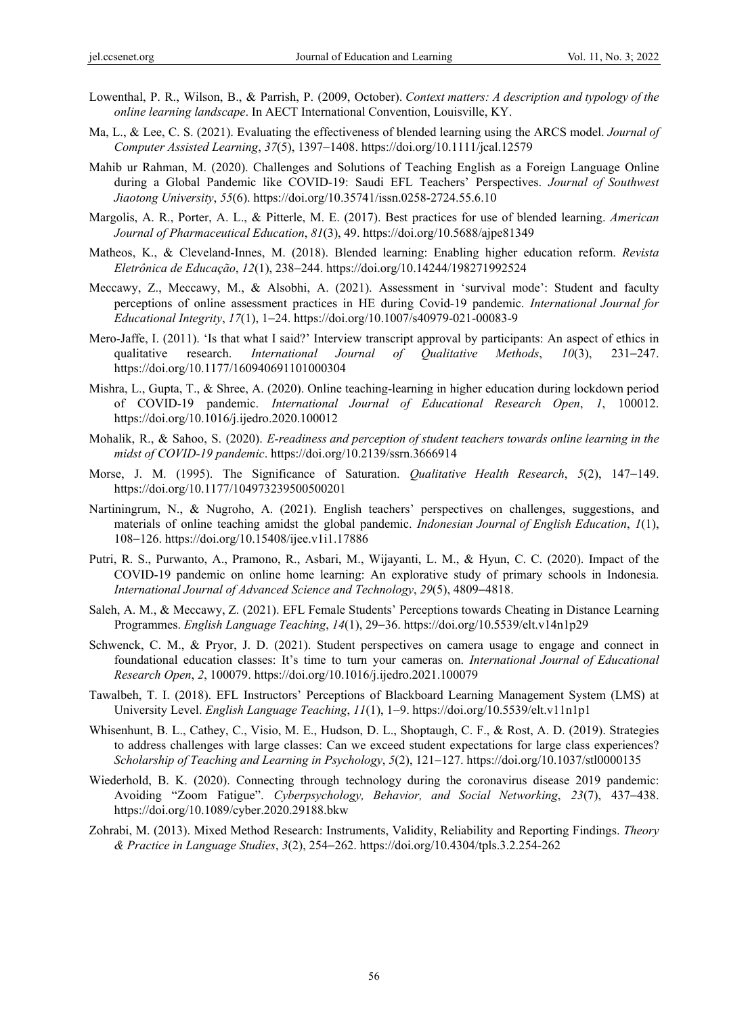- Lowenthal, P. R., Wilson, B., & Parrish, P. (2009, October). *Context matters: A description and typology of the online learning landscape*. In AECT International Convention, Louisville, KY.
- Ma, L., & Lee, C. S. (2021). Evaluating the effectiveness of blended learning using the ARCS model. *Journal of Computer Assisted Learning*, *37*(5), 1397−1408. https://doi.org/10.1111/jcal.12579
- Mahib ur Rahman, M. (2020). Challenges and Solutions of Teaching English as a Foreign Language Online during a Global Pandemic like COVID-19: Saudi EFL Teachers' Perspectives. *Journal of Southwest Jiaotong University*, *55*(6). https://doi.org/10.35741/issn.0258-2724.55.6.10
- Margolis, A. R., Porter, A. L., & Pitterle, M. E. (2017). Best practices for use of blended learning. *American Journal of Pharmaceutical Education*, *81*(3), 49. https://doi.org/10.5688/ajpe81349
- Matheos, K., & Cleveland-Innes, M. (2018). Blended learning: Enabling higher education reform. *Revista Eletrônica de Educação*, *12*(1), 238−244. https://doi.org/10.14244/198271992524
- Meccawy, Z., Meccawy, M., & Alsobhi, A. (2021). Assessment in 'survival mode': Student and faculty perceptions of online assessment practices in HE during Covid-19 pandemic. *International Journal for Educational Integrity*, *17*(1), 1−24. https://doi.org/10.1007/s40979-021-00083-9
- Mero-Jaffe, I. (2011). 'Is that what I said?' Interview transcript approval by participants: An aspect of ethics in qualitative research. *International Journal of Qualitative Methods*, *10*(3), 231−247. https://doi.org/10.1177/160940691101000304
- Mishra, L., Gupta, T., & Shree, A. (2020). Online teaching-learning in higher education during lockdown period of COVID-19 pandemic. *International Journal of Educational Research Open*, *1*, 100012. https://doi.org/10.1016/j.ijedro.2020.100012
- Mohalik, R., & Sahoo, S. (2020). *E-readiness and perception of student teachers towards online learning in the midst of COVID-19 pandemic*. https://doi.org/10.2139/ssrn.3666914
- Morse, J. M. (1995). The Significance of Saturation. *Qualitative Health Research*, *5*(2), 147−149. https://doi.org/10.1177/104973239500500201
- Nartiningrum, N., & Nugroho, A. (2021). English teachers' perspectives on challenges, suggestions, and materials of online teaching amidst the global pandemic. *Indonesian Journal of English Education*, *1*(1), 108−126. https://doi.org/10.15408/ijee.v1i1.17886
- Putri, R. S., Purwanto, A., Pramono, R., Asbari, M., Wijayanti, L. M., & Hyun, C. C. (2020). Impact of the COVID-19 pandemic on online home learning: An explorative study of primary schools in Indonesia. *International Journal of Advanced Science and Technology*, *29*(5), 4809−4818.
- Saleh, A. M., & Meccawy, Z. (2021). EFL Female Students' Perceptions towards Cheating in Distance Learning Programmes. *English Language Teaching*, *14*(1), 29−36. https://doi.org/10.5539/elt.v14n1p29
- Schwenck, C. M., & Pryor, J. D. (2021). Student perspectives on camera usage to engage and connect in foundational education classes: It's time to turn your cameras on. *International Journal of Educational Research Open*, *2*, 100079. https://doi.org/10.1016/j.ijedro.2021.100079
- Tawalbeh, T. I. (2018). EFL Instructors' Perceptions of Blackboard Learning Management System (LMS) at University Level. *English Language Teaching*, *11*(1), 1−9. https://doi.org/10.5539/elt.v11n1p1
- Whisenhunt, B. L., Cathey, C., Visio, M. E., Hudson, D. L., Shoptaugh, C. F., & Rost, A. D. (2019). Strategies to address challenges with large classes: Can we exceed student expectations for large class experiences? *Scholarship of Teaching and Learning in Psychology*, *5*(2), 121−127. https://doi.org/10.1037/stl0000135
- Wiederhold, B. K. (2020). Connecting through technology during the coronavirus disease 2019 pandemic: Avoiding "Zoom Fatigue". *Cyberpsychology, Behavior, and Social Networking*, *23*(7), 437−438. https://doi.org/10.1089/cyber.2020.29188.bkw
- Zohrabi, M. (2013). Mixed Method Research: Instruments, Validity, Reliability and Reporting Findings. *Theory & Practice in Language Studies*, *3*(2), 254−262. https://doi.org/10.4304/tpls.3.2.254-262